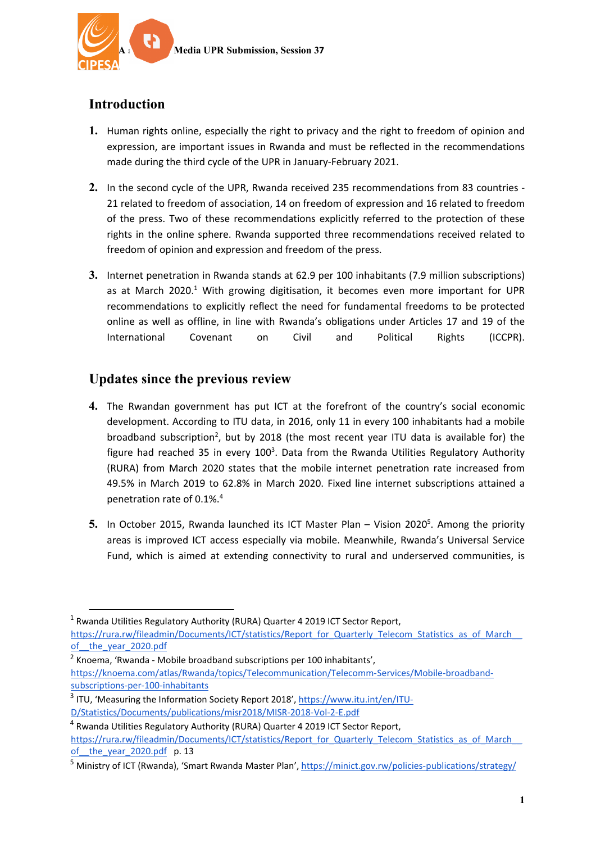

# **Introduction**

- **1.** Human rights online, especially the right to privacy and the right to freedom of opinion and expression, are important issues in Rwanda and must be reflected in the recommendations made during the third cycle of the UPR in January-February 2021.
- **2.** In the second cycle of the UPR, Rwanda received 235 recommendations from 83 countries 21 related to freedom of association, 14 on freedom of expression and 16 related to freedom of the press. Two of these recommendations explicitly referred to the protection of these rights in the online sphere. Rwanda supported three recommendations received related to freedom of opinion and expression and freedom of the press.
- **3.** Internet penetration in Rwanda stands at 62.9 per 100 inhabitants (7.9 million subscriptions) as at March 2020.<sup>1</sup> With growing digitisation, it becomes even more important for UPR recommendations to explicitly reflect the need for fundamental freedoms to be protected online as well as offline, in line with Rwanda'<sup>s</sup> obligations under Articles 17 and 19 of the International Covenant on Civil and Political Rights (ICCPR).

### **Updates since the previous review**

- **4.** The Rwandan government has put ICT at the forefront of the country'<sup>s</sup> social economic development. According to ITU data, in 2016, only 11 in every 100 inhabitants had <sup>a</sup> mobile broadband subscription<sup>2</sup>, but by 2018 (the most recent year ITU data is available for) the figure had reached 35 in every 100<sup>3</sup>. Data from the Rwanda Utilities Regulatory Authority (RURA) from March 2020 states that the mobile internet penetration rate increased from 49.5% in March 2019 to 62.8% in March 2020. Fixed line internet subscriptions attained <sup>a</sup> penetration rate of 0.1%. 4
- 5. In October 2015, Rwanda launched its ICT Master Plan Vision 2020<sup>5</sup>. Among the priority areas is improved ICT access especially via mobile. Meanwhile, Rwanda'<sup>s</sup> Universal Service Fund, which is aimed at extending connectivity to rural and underserved communities, is

<sup>&</sup>lt;sup>1</sup> Rwanda Utilities Regulatory Authority (RURA) Quarter 4 2019 ICT Sector Report, https://rura.rw/fileadmin/Documents/ICT/statistics/Report\_for\_Quarterly\_Telecom\_Statistics\_as\_of\_March [of\\_\\_the\\_year\\_2020.pdf](https://rura.rw/fileadmin/Documents/ICT/statistics/Report_for_Quarterly_Telecom_Statistics_as_of_March__of__the_year_2020.pdf)

<sup>&</sup>lt;sup>2</sup> Knoema, 'Rwanda - Mobile broadband subscriptions per 100 inhabitants', [https://knoema.com/atlas/Rwanda/topics/Telecommunication/Telecomm-Services/Mobile-broadband](https://knoema.com/atlas/Rwanda/topics/Telecommunication/Telecomm-Services/Mobile-broadband-subscriptions-per-100-inhabitants)[subscriptions-per-100-inhabitants](https://knoema.com/atlas/Rwanda/topics/Telecommunication/Telecomm-Services/Mobile-broadband-subscriptions-per-100-inhabitants)

<sup>&</sup>lt;sup>3</sup> ITU, 'Measuring the Information Society Report 2018', [https://www.itu.int/en/ITU-](https://www.itu.int/en/ITU-D/Statistics/Documents/publications/misr2018/MISR-2018-Vol-2-E.pdf)[D/Statistics/Documents/publications/misr2018/MISR-2018-Vol-2-E.pdf](https://www.itu.int/en/ITU-D/Statistics/Documents/publications/misr2018/MISR-2018-Vol-2-E.pdf)

<sup>4</sup> Rwanda Utilities Regulatory Authority (RURA) Quarter 4 2019 ICT Sector Report, https://rura.rw/fileadmin/Documents/ICT/statistics/Report\_for\_Quarterly\_Telecom\_Statistics\_as\_of\_March of the year 2020.pdf p. 13

<sup>&</sup>lt;sup>5</sup> Ministry of ICT (Rwanda), 'Smart Rwanda Master Plan', <https://minict.gov.rw/policies-publications/strategy/>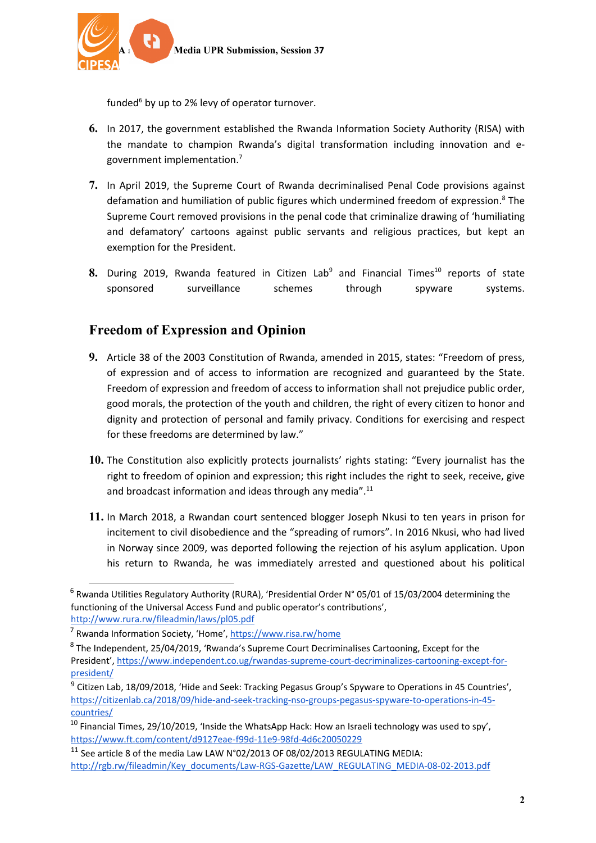

funded<sup>6</sup> by up to 2% levy of operator turnover.

- **6.** In 2017, the government established the Rwanda Information Society Authority (RISA) with the mandate to champion Rwanda'<sup>s</sup> digital transformation including innovation and egovernment implementation.<sup>7</sup>
- **7.** In April 2019, the Supreme Court of Rwanda decriminalised Penal Code provisions against defamation and humiliation of public figures which undermined freedom of expression.<sup>8</sup> The Supreme Court removed provisions in the penal code that criminalize drawing of 'humiliating and defamatory' cartoons against public servants and religious practices, but kept an exemption for the President.
- **8.** During 2019, Rwanda featured in Citizen Lab<sup>9</sup> and Financial Times<sup>10</sup> reports of state sponsored surveillance schemes through spyware systems.

#### **Freedom of Expression and Opinion**

- **9.** Article 38 of the 2003 Constitution of Rwanda, amended in 2015, states: "Freedom of press, of expression and of access to information are recognized and guaranteed by the State. Freedom of expression and freedom of access to information shall not prejudice public order, good morals, the protection of the youth and children, the right of every citizen to honor and dignity and protection of personal and family privacy. Conditions for exercising and respect for these freedoms are determined by law."
- **10.** The Constitution also explicitly protects journalists' rights stating: "Every journalist has the right to freedom of opinion and expression; this right includes the right to seek, receive, give and broadcast information and ideas through any media".<sup>11</sup>
- **11.** In March 2018, <sup>a</sup> Rwandan court sentenced blogger Joseph Nkusi to ten years in prison for incitement to civil disobedience and the "spreading of rumors". In 2016 Nkusi, who had lived in Norway since 2009, was deported following the rejection of his asylum application. Upon his return to Rwanda, he was immediately arrested and questioned about his political

<sup>&</sup>lt;sup>6</sup> Rwanda Utilities Regulatory Authority (RURA), 'Presidential Order N° 05/01 of 15/03/2004 determining the functioning of the Universal Access Fund and public operator'<sup>s</sup> contributions', <http://www.rura.rw/fileadmin/laws/pl05.pdf>

<sup>7</sup> Rwanda Information Society, 'Home', [https://www.risa.rw/home](https://www.risa.rw/home/)

<sup>&</sup>lt;sup>8</sup> The Independent, 25/04/2019, 'Rwanda's Supreme Court Decriminalises Cartooning, Except for the President', [https://www.independent.co.ug/rwandas-supreme-court-decriminalizes-cartooning-except-for](https://www.independent.co.ug/rwandas-supreme-court-decriminalizes-cartooning-except-for-president/)[president/](https://www.independent.co.ug/rwandas-supreme-court-decriminalizes-cartooning-except-for-president/)

<sup>&</sup>lt;sup>9</sup> Citizen Lab, 18/09/2018, 'Hide and Seek: Tracking Pegasus Group's Spyware to Operations in 45 Countries', [https://citizenlab.ca/2018/09/hide-and-seek-tracking-nso-groups-pegasus-spyware-to-operations-in-45](https://citizenlab.ca/2018/09/hide-and-seek-tracking-nso-groups-pegasus-spyware-to-operations-in-45-countries/) [countries/](https://citizenlab.ca/2018/09/hide-and-seek-tracking-nso-groups-pegasus-spyware-to-operations-in-45-countries/)

<sup>&</sup>lt;sup>10</sup> Financial Times, 29/10/2019, 'Inside the WhatsApp Hack: How an Israeli technology was used to spy', <https://www.ft.com/content/d9127eae-f99d-11e9-98fd-4d6c20050229>

 $^{11}$  See article 8 of the media Law LAW N°02/2013 OF 08/02/2013 REGULATING MEDIA: [http://rgb.rw/fileadmin/Key\\_documents/Law-RGS-Gazette/LAW\\_REGULATING\\_MEDIA-08-02-2013.pdf](http://rgb.rw/fileadmin/Key_documents/Law-RGS-Gazette/LAW_REGULATING_MEDIA-08-02-2013.pdf)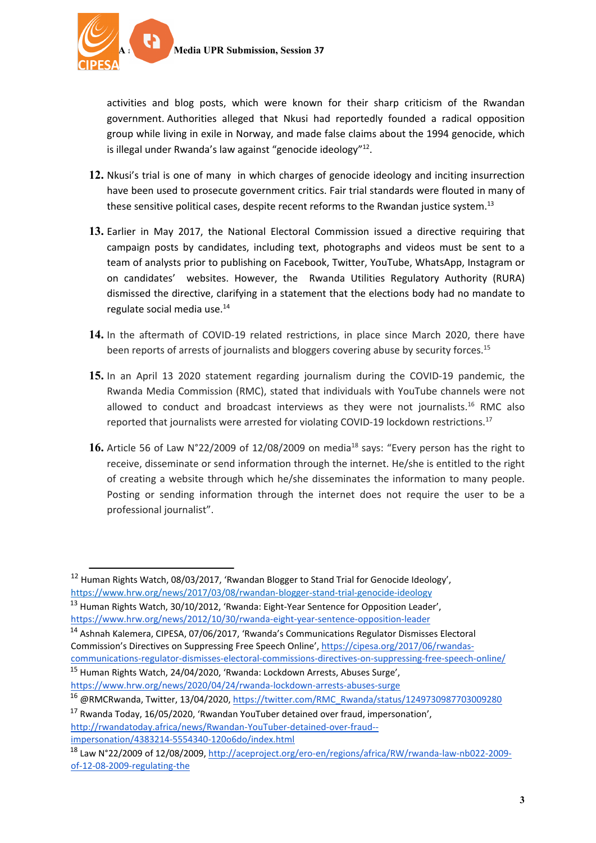activities and blog posts, which were known for their sharp criticism of the Rwandan government. Authorities alleged that Nkusi had reportedly founded <sup>a</sup> radical opposition group while living in exile in Norway, and made false claims about the 1994 genocide, which is illegal under Rwanda's law against "genocide ideology"<sup>12</sup>.

- **12.** Nkusi'<sup>s</sup> trial is one of many in which charges of [genocide](https://www.hrw.org/news/2012/10/30/rwanda-eight-year-sentence-opposition-leader) ideology and inciting [insurrection](https://www.hrw.org/news/2016/04/01/rwanda-ex-military-officers-convicted-over-comments) have been used to prosecute government critics. Fair trial standards were flouted in many of these sensitive political cases, despite recent reforms to the [Rwandan](https://www.hrw.org/sites/default/files/reports/rwanda0708webwcover.pdf) justice system.<sup>13</sup>
- **13.** Earlier in May 2017, the National Electoral Commission issued <sup>a</sup> directive requiring that campaign posts by candidates, including text, photographs and videos must be sent to <sup>a</sup> team of analysts prior to publishing on Facebook, Twitter, YouTube, WhatsApp, Instagram or on candidates' websites. However, the Rwanda Utilities Regulatory Authority (RURA) dismissed the directive, clarifying in <sup>a</sup> statement that the elections body had no mandate to regulate social media use. 14
- **14.** In the aftermath of COVID-19 related restrictions, in place since March 2020, there have been reports of arrests of journalists and bloggers covering abuse by security forces.<sup>15</sup>
- **15.** In an April 13 2020 statement regarding journalism during the COVID-19 pandemic, the Rwanda Media Commission (RMC), stated that individuals with YouTube channels were not allowed to conduct and broadcast interviews as they were not journalists.<sup>16</sup> RMC also reported that journalists were arrested for violating COVID-19 lockdown restrictions.<sup>17</sup>
- ${\bf 16.}$  Article 56 of Law <code>N°22/2009</code> of 12/08/2009 on media $^{18}$  says: "Every person has the right to receive, disseminate or send information through the internet. He/she is entitled to the right of creating <sup>a</sup> website through which he/she disseminates the information to many people. Posting or sending information through the internet does not require the user to be <sup>a</sup> professional journalist".

<sup>14</sup> Ashnah Kalemera, CIPESA, 07/06/2017, 'Rwanda's Communications Regulator Dismisses Electoral Commission'<sup>s</sup> Directives on Suppressing Free Speech Online', [https://cipesa.org/2017/06/rwandas](https://cipesa.org/2017/06/rwandas-communications-regulator-dismisses-electoral-commissions-directives-on-suppressing-free-speech-online/)[communications-regulator-dismisses-electoral-commissions-directives-on-suppressing-free-speech-online/](https://cipesa.org/2017/06/rwandas-communications-regulator-dismisses-electoral-commissions-directives-on-suppressing-free-speech-online/) <sup>15</sup> Human Rights Watch, 24/04/2020, 'Rwanda: Lockdown Arrests, Abuses Surge',

<sup>&</sup>lt;sup>12</sup> Human Rights Watch, 08/03/2017, 'Rwandan Blogger to Stand Trial for Genocide Ideology', <https://www.hrw.org/news/2017/03/08/rwandan-blogger-stand-trial-genocide-ideology>

<sup>&</sup>lt;sup>13</sup> Human Rights Watch, 30/10/2012, 'Rwanda: Eight-Year Sentence for Opposition Leader', <https://www.hrw.org/news/2012/10/30/rwanda-eight-year-sentence-opposition-leader>

<https://www.hrw.org/news/2020/04/24/rwanda-lockdown-arrests-abuses-surge>

<sup>16</sup> @RMCRwanda, Twitter, 13/04/2020, [https://twitter.com/RMC\\_Rwanda/status/1249730987703009280](https://twitter.com/RMC_Rwanda/status/1249730987703009280)

<sup>&</sup>lt;sup>17</sup> Rwanda Today, 16/05/2020, 'Rwandan YouTuber detained over fraud, impersonation', [http://rwandatoday.africa/news/Rwandan-YouTuber-detained-over-fraud-](http://rwandatoday.africa/news/Rwandan-YouTuber-detained-over-fraud--impersonation/4383214-5554340-120o6do/index.html) [impersonation/4383214-5554340-120o6do/index.html](http://rwandatoday.africa/news/Rwandan-YouTuber-detained-over-fraud--impersonation/4383214-5554340-120o6do/index.html)

<sup>18</sup> Law N°22/2009 of 12/08/2009, [http://aceproject.org/ero-en/regions/africa/RW/rwanda-law-nb022-2009](http://aceproject.org/ero-en/regions/africa/RW/rwanda-law-nb022-2009-of-12-08-2009-regulating-the) [of-12-08-2009-regulating-the](http://aceproject.org/ero-en/regions/africa/RW/rwanda-law-nb022-2009-of-12-08-2009-regulating-the)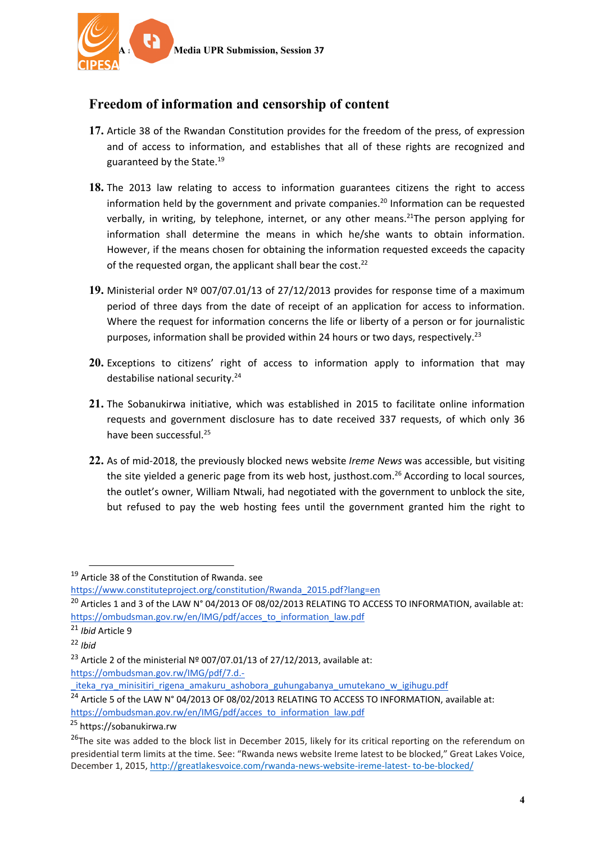

# **Freedom of information and censorship of content**

- **17.** Article 38 of the Rwandan Constitution provides for the freedom of the press, of expression and of access to information, and establishes that all of these rights are recognized and guaranteed by the State. 19
- **18.** The 2013 law relating to access to information guarantees citizens the right to access information held by the government and private companies.<sup>20</sup> Information can be requested verbally, in writing, by telephone, internet, or any other means.<sup>21</sup>The person applying for information shall determine the means in which he/she wants to obtain information. However, if the means chosen for obtaining the information requested exceeds the capacity of the requested organ, the applicant shall bear the cost.<sup>22</sup>
- **19.** Ministerial order Nº 007/07.01/13 of 27/12/2013 provides for response time of <sup>a</sup> maximum period of three days from the date of receipt of an application for access to information. Where the request for information concerns the life or liberty of <sup>a</sup> person or for journalistic purposes, information shall be provided within 24 hours or two days, respectively.<sup>23</sup>
- **20.** Exceptions to citizens' right of access to information apply to information that may destabilise national security.<sup>24</sup>
- **21.** The Sobanukirwa initiative, which was established in 2015 to facilitate online information requests and government disclosure has to date received 337 requests, of which only 36 have been successful.<sup>25</sup>
- **22.** As of mid-2018, the previously blocked news website *Ireme News* was accessible, but visiting the site yielded a generic page from its web host, justhost.com.<sup>26</sup> According to local sources, the outlet'<sup>s</sup> owner, William Ntwali, had negotiated with the government to unblock the site, but refused to pay the web hosting fees until the government granted him the right to

[https://ombudsman.gov.rw/IMG/pdf/7.d.-](https://ombudsman.gov.rw/IMG/pdf/7.d.-_iteka_rya_minisitiri_rigena_amakuru_ashobora_guhungabanya_umutekano_w_igihugu.pdf)

<sup>&</sup>lt;sup>19</sup> Article 38 of the Constitution of Rwanda. see

[https://www.constituteproject.org/constitution/Rwanda\\_2015.pdf?lang=en](https://www.constituteproject.org/constitution/Rwanda_2015.pdf?lang=en)

 $^{20}$  Articles 1 and 3 of the LAW N° 04/2013 OF 08/02/2013 RELATING TO ACCESS TO INFORMATION, available at: [https://ombudsman.gov.rw/en/IMG/pdf/acces\\_to\\_information\\_law.pdf](https://ombudsman.gov.rw/en/IMG/pdf/acces_to_information_law.pdf)

<sup>21</sup> *Ibid* Article 9

<sup>22</sup> *Ibid*

<sup>&</sup>lt;sup>23</sup> Article 2 of the ministerial Nº 007/07.01/13 of 27/12/2013, available at:

iteka rya minisitiri rigena amakuru ashobora guhungabanya umutekano w igihugu.pdf

<sup>&</sup>lt;sup>24</sup> Article 5 of the LAW N° 04/2013 OF 08/02/2013 RELATING TO ACCESS TO INFORMATION, available at: [https://ombudsman.gov.rw/en/IMG/pdf/acces\\_to\\_information\\_law.pdf](https://ombudsman.gov.rw/en/IMG/pdf/acces_to_information_law.pdf)

<sup>&</sup>lt;sup>25</sup> <https://sobanukirwa.rw>

<sup>&</sup>lt;sup>26</sup>The site was added to the block list in December 2015, likely for its critical reporting on the referendum on presidential term limits at the time. See: "Rwanda news website Ireme latest to be blocked," Great Lakes Voice, December 1, 2015, [http://greatlakesvoice.com/rwanda-news-website-ireme-latest-](http://greatlakesvoice.com/rwanda-news-website-ireme-latest-%20to-be-blocked/) to-be-blocked/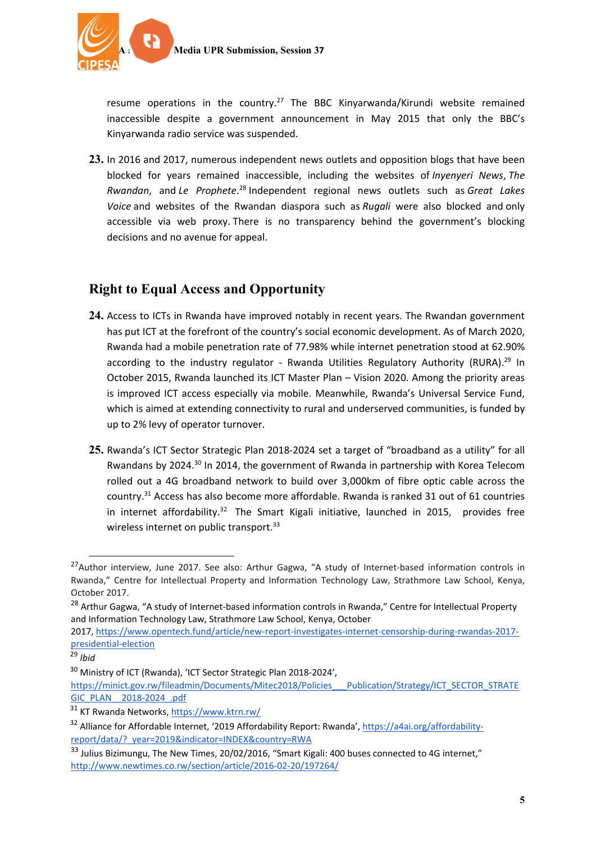

resume operations in the country.<sup>27</sup> The BBC Kinyarwanda/Kirundi website remained inaccessible despite <sup>a</sup> government announcement in May 2015 that only the BBC'<sup>s</sup> Kinyarwanda radio service was suspended.

**23.** In 2016 and 2017, numerous independent news outlets and opposition blogs that have been blocked for years remained inaccessible, including the websites of *Inyenyeri News*, *The Rwandan*, and *Le Prophete*. 28 Independent regional news outlets such as *Great Lakes Voice* and websites of the Rwandan diaspora such as *Rugali* were also blocked and only accessible via web proxy. There is no transparency behind the government'<sup>s</sup> blocking decisions and no avenue for appeal.

### **Right to Equal Access and Opportunity**

- **24.** Access to ICTs in Rwanda have improved notably in recent years. The Rwandan government has put ICT at the forefront of the country'<sup>s</sup> social economic development. As of March 2020, Rwanda had <sup>a</sup> mobile penetration rate of 77.98% while internet penetration stood at 62.90% according to the industry regulator - Rwanda Utilities Regulatory Authority (RURA).<sup>29</sup> In October 2015, Rwanda launched its ICT Master Plan – Vision 2020. Among the priority areas is improved ICT access especially via mobile. Meanwhile, Rwanda'<sup>s</sup> Universal Service Fund, which is aimed at extending connectivity to rural and underserved communities, is funded by up to 2% levy of operator turnover.
- **25.** Rwanda'<sup>s</sup> ICT Sector Strategic Plan 2018-2024 set <sup>a</sup> target of "broadband as <sup>a</sup> utility" for all Rwandans by 2024.<sup>30</sup> In 2014, the government of Rwanda in partnership with Korea Telecom rolled out <sup>a</sup> 4G broadband network to build over 3,000km of fibre optic cable across the country.<sup>31</sup> Access has also become more affordable. Rwanda is ranked 31 out of 61 countries in internet affordability.<sup>32</sup> The Smart Kigali initiative, launched in 2015, provides free wireless internet on public transport.<sup>33</sup>

<sup>&</sup>lt;sup>27</sup> Author interview, June 2017. See also: Arthur Gagwa, "A study of Internet-based information controls in Rwanda," Centre for Intellectual Property and Information Technology Law, Strathmore Law School, Kenya, October 2017.

<sup>&</sup>lt;sup>28</sup> Arthur Gagwa, "A study of Internet-based information controls in Rwanda," Centre for Intellectual Property and Information Technology Law, Strathmore Law School, Kenya, October

<sup>2017,</sup> [https://www.opentech.fund/article/new-report-investigates-internet-censorship-during-rwandas-2017](https://www.opentech.fund/article/new-report-investigates-internet-censorship-during-rwandas-2017-presidential-election) [presidential-election](https://www.opentech.fund/article/new-report-investigates-internet-censorship-during-rwandas-2017-presidential-election)

<sup>29</sup> *Ibid*

<sup>&</sup>lt;sup>30</sup> Ministry of ICT (Rwanda), 'ICT Sector Strategic Plan 2018-2024',

[https://minict.gov.rw/fileadmin/Documents/Mitec2018/Policies\\_\\_\\_Publication/Strategy/ICT\\_SECTOR\\_STRATE](https://minict.gov.rw/fileadmin/Documents/Mitec2018/Policies___Publication/Strategy/ICT_SECTOR_STRATEGIC_PLAN__2018-2024_.pdf) [GIC\\_PLAN\\_\\_2018-2024\\_.pdf](https://minict.gov.rw/fileadmin/Documents/Mitec2018/Policies___Publication/Strategy/ICT_SECTOR_STRATEGIC_PLAN__2018-2024_.pdf)

<sup>&</sup>lt;sup>31</sup> KT Rwanda Networks, <https://www.ktrn.rw/>

<sup>&</sup>lt;sup>32</sup> Alliance for Affordable Internet, '2019 Affordability Report: Rwanda', [https://a4ai.org/affordability](https://a4ai.org/affordability-report/data/?_year=2019&indicator=INDEX&country=RWA)[report/data/?\\_year=2019&indicator=INDEX&country=RWA](https://a4ai.org/affordability-report/data/?_year=2019&indicator=INDEX&country=RWA)

<sup>&</sup>lt;sup>33</sup> Julius Bizimungu, The New Times, 20/02/2016, "Smart Kigali: 400 buses connected to 4G internet," <http://www.newtimes.co.rw/section/article/2016-02-20/197264/>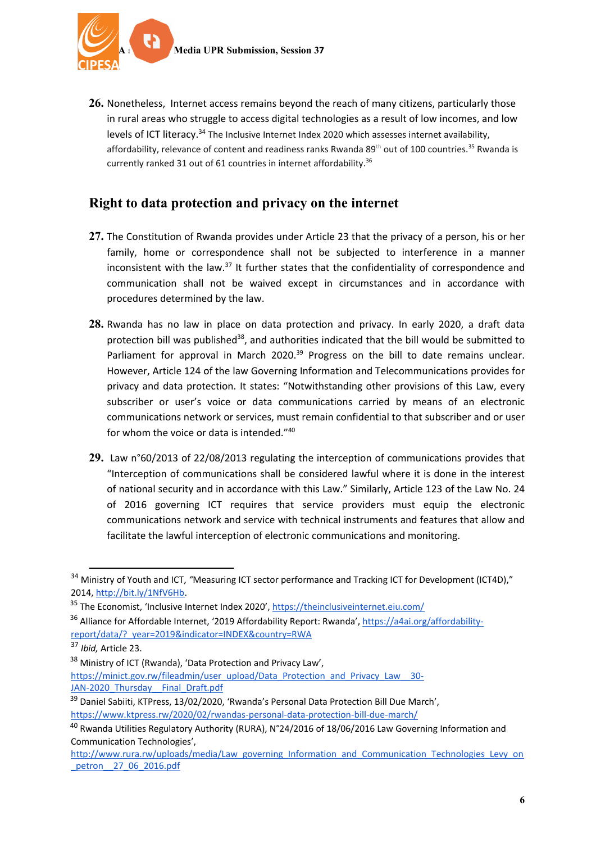**26.** Nonetheless, Internet access remains beyond the reach of many citizens, particularly those in rural areas who struggle to access digital technologies as <sup>a</sup> result of low incomes, and low levels of ICT literacy.<sup>34</sup> The Inclusive Internet Index 2020 which assesses internet availability, affordability, relevance of content and readiness ranks Rwanda 89<sup>th</sup> out of 100 countries.<sup>35</sup> Rwanda is currently ranked 31 out of 61 countries in internet affordability. 36

#### **Right to data protection and privacy on the internet**

- **27.** The Constitution of Rwanda provides under Article 23 that the privacy of <sup>a</sup> person, his or her family, home or correspondence shall not be subjected to interference in <sup>a</sup> manner inconsistent with the law.<sup>37</sup> It further states that the confidentiality of correspondence and communication shall not be waived except in circumstances and in accordance with procedures determined by the law.
- **28.** Rwanda has no law in place on data protection and privacy. In early 2020, <sup>a</sup> draft data protection bill was published<sup>38</sup>, and authorities indicated that the bill would be submitted to Parliament for approval in March 2020.<sup>39</sup> Progress on the bill to date remains unclear. However, Article 124 of the law Governing Information and Telecommunications provides for privacy and data protection. It states: "Notwithstanding other provisions of this Law, every subscriber or user'<sup>s</sup> voice or data communications carried by means of an electronic communications network or services, must remain confidential to that subscriber and or user for whom the voice or data is intended."<sup>40</sup>
- **29.** Law <sup>n</sup>°60/2013 of 22/08/2013 regulating the interception of communications provides that "Interception of communications shall be considered lawful where it is done in the interest of national security and in accordance with this Law." Similarly, Article 123 of the Law No. 24 of 2016 governing ICT requires that service providers must equip the electronic communications network and service with technical instruments and features that allow and facilitate the lawful interception of electronic communications and monitoring.

<sup>&</sup>lt;sup>34</sup> Ministry of Youth and ICT, "Measuring ICT sector performance and Tracking ICT for Development (ICT4D)," 2014, <http://bit.ly/1NfV6Hb>.

<sup>&</sup>lt;sup>35</sup> The Economist, 'Inclusive Internet Index 2020', <https://theinclusiveinternet.eiu.com/>

<sup>&</sup>lt;sup>36</sup> Alliance for Affordable Internet, '2019 Affordability Report: Rwanda', [https://a4ai.org/affordability](https://a4ai.org/affordability-report/data/?_year=2019&indicator=INDEX&country=RWA)[report/data/?\\_year=2019&indicator=INDEX&country=RWA](https://a4ai.org/affordability-report/data/?_year=2019&indicator=INDEX&country=RWA)

<sup>37</sup> *Ibid,* Article 23.

<sup>&</sup>lt;sup>38</sup> Ministry of ICT (Rwanda), 'Data Protection and Privacy Law', [https://minict.gov.rw/fileadmin/user\\_upload/Data\\_Protection\\_and\\_Privacy\\_Law\\_\\_30-](https://minict.gov.rw/fileadmin/user_upload/Data_Protection_and_Privacy_Law__30-JAN-2020_Thursday__Final_Draft.pdf)

JAN-2020 Thursday Final Draft.pdf

<sup>&</sup>lt;sup>39</sup> Daniel Sabiiti, KTPress, 13/02/2020, 'Rwanda's Personal Data Protection Bill Due March', <https://www.ktpress.rw/2020/02/rwandas-personal-data-protection-bill-due-march/>

<sup>&</sup>lt;sup>40</sup> Rwanda Utilities Regulatory Authority (RURA), N°24/2016 of 18/06/2016 Law Governing Information and Communication Technologies',

[http://www.rura.rw/uploads/media/Law\\_governing\\_Information\\_and\\_Communication\\_Technologies\\_Levy\\_on](http://www.rura.rw/uploads/media/Law_governing_Information_and_Communication_Technologies_Levy_on_petron__27_06_2016.pdf) [\\_petron\\_\\_27\\_06\\_2016.pdf](http://www.rura.rw/uploads/media/Law_governing_Information_and_Communication_Technologies_Levy_on_petron__27_06_2016.pdf)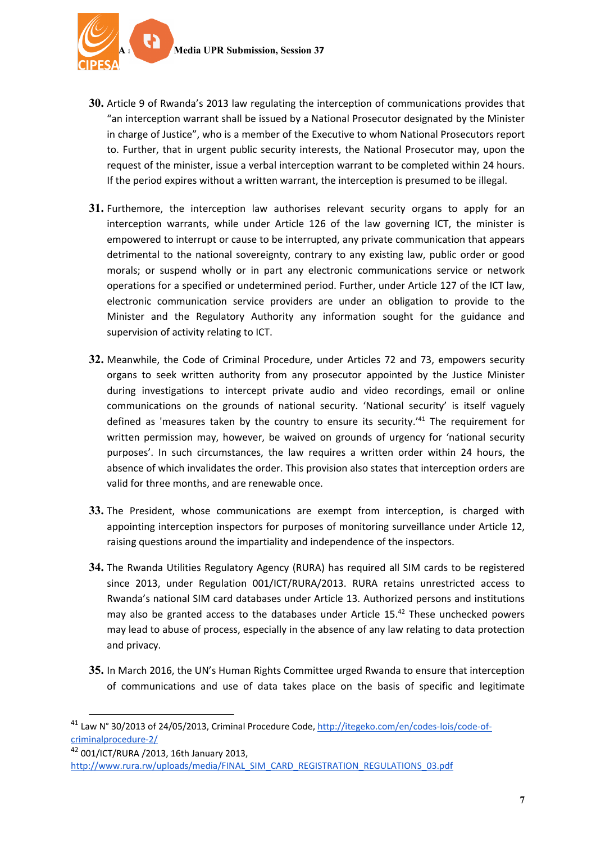

- **30.** Article 9 of Rwanda'<sup>s</sup> 2013 law regulating the interception of communications provides that "an interception warrant shall be issued by <sup>a</sup> National Prosecutor designated by the Minister in charge of Justice", who is <sup>a</sup> member of the Executive to whom National Prosecutors report to. Further, that in urgent public security interests, the National Prosecutor may, upon the request of the minister, issue <sup>a</sup> verbal interception warrant to be completed within 24 hours. If the period expires without <sup>a</sup> written warrant, the interception is presumed to be illegal.
- **31.** Furthemore, the interception law authorises relevant security organs to apply for an interception warrants, while under Article 126 of the law governing ICT, the minister is empowered to interrupt or cause to be interrupted, any private communication that appears detrimental to the national sovereignty, contrary to any existing law, public order or good morals; or suspend wholly or in part any electronic communications service or network operations for <sup>a</sup> specified or undetermined period. Further, under Article 127 of the ICT law, electronic communication service providers are under an obligation to provide to the Minister and the Regulatory Authority any information sought for the guidance and supervision of activity relating to ICT.
- **32.** Meanwhile, the Code of Criminal Procedure, under Articles 72 and 73, empowers security organs to seek written authority from any prosecutor appointed by the Justice Minister during investigations to intercept private audio and video recordings, email or online communications on the grounds of national security. 'National security' is itself vaguely defined as 'measures taken by the country to ensure its security.'<sup>41</sup> The requirement for written permission may, however, be waived on grounds of urgency for 'national security purposes'. In such circumstances, the law requires <sup>a</sup> written order within 24 hours, the absence of which invalidates the order. This provision also states that interception orders are valid for three months, and are renewable once.
- **33.** The President, whose communications are exempt from interception, is charged with appointing interception inspectors for purposes of monitoring surveillance under Article 12, raising questions around the impartiality and independence of the inspectors.
- **34.** The Rwanda Utilities Regulatory Agency (RURA) has required all SIM cards to be registered since 2013, under Regulation 001/ICT/RURA/2013. RURA retains unrestricted access to Rwanda'<sup>s</sup> national SIM card databases under Article 13. Authorized persons and institutions may also be granted access to the databases under Article  $15.^{42}$  These unchecked powers may lead to abuse of process, especially in the absence of any law relating to data protection and privacy.
- **35.** In March 2016, the UN'<sup>s</sup> Human Rights Committee urged Rwanda to ensure that interception of communications and use of data takes place on the basis of specific and legitimate

42 001/ICT/RURA /2013, 16th January 2013, [http://www.rura.rw/uploads/media/FINAL\\_SIM\\_CARD\\_REGISTRATION\\_REGULATIONS\\_03.pdf](http://www.rura.rw/uploads/media/FINAL_SIM_CARD_REGISTRATION_REGULATIONS_03.pdf)

<sup>&</sup>lt;sup>41</sup> Law N° 30/2013 of 24/05/2013, Criminal Procedure Code, [http://itegeko.com/en/codes-lois/code-of](http://itegeko.com/en/codes-lois/code-of-criminalprocedure-2/)[criminalprocedure-2/](http://itegeko.com/en/codes-lois/code-of-criminalprocedure-2/)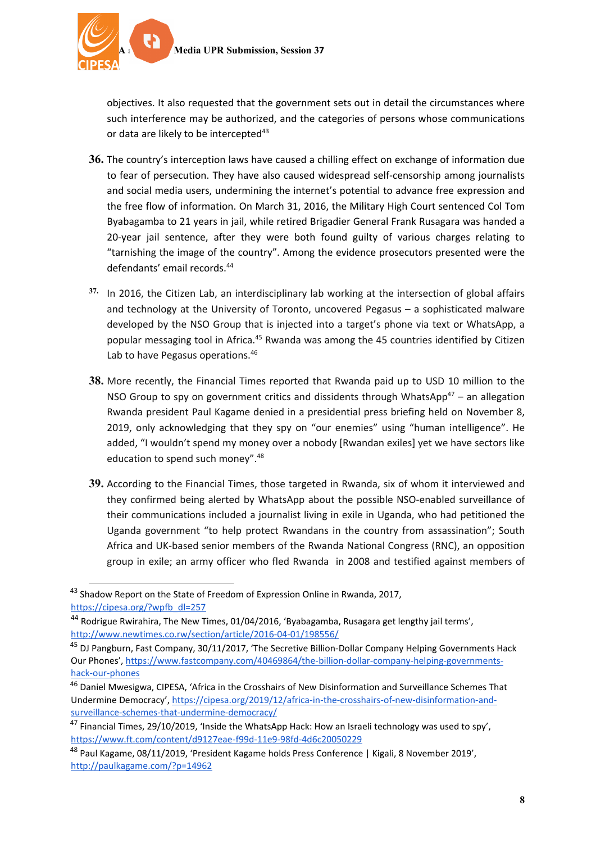

objectives. It also requested that the government sets out in detail the circumstances where such interference may be authorized, and the categories of persons whose communications or data are likely to be intercepted<sup>43</sup>

- **36.** The country'<sup>s</sup> interception laws have caused <sup>a</sup> chilling effect on exchange of information due to fear of persecution. They have also caused widespread self-censorship among journalists and social media users, undermining the internet'<sup>s</sup> potential to advance free expression and the free flow of information. On March 31, 2016, the Military High Court sentenced Col Tom Byabagamba to 21 years in jail, while retired Brigadier General Frank Rusagara was handed <sup>a</sup> 20-year jail sentence, after they were both found guilty of various charges relating to "tarnishing the image of the country". Among the evidence prosecutors presented were the defendants' email records. 44
- **37.** In 2016, the Citizen Lab, an interdisciplinary lab working at the intersection of global affairs and technology at the University of Toronto, uncovered Pegasus – <sup>a</sup> sophisticated malware developed by the NSO Group that is injected into <sup>a</sup> target'<sup>s</sup> phone via text or WhatsApp, <sup>a</sup> popular messaging tool in Africa.<sup>45</sup> Rwanda was among the 45 countries identified by Citizen Lab to have Pegasus operations.<sup>46</sup>
- **38.** More recently, the Financial Times reported that Rwanda paid up to USD 10 million to the NSO Group to spy on government critics and dissidents through WhatsApp $^{47}$  – an allegation Rwanda president Paul Kagame denied in <sup>a</sup> presidential press briefing held on November 8, 2019, only acknowledging that they spy on "our enemies" using "human intelligence". He added, "I wouldn'<sup>t</sup> spend my money over <sup>a</sup> nobody [Rwandan exiles] yet we have sectors like education to spend such money".<sup>48</sup>
- **39.** According to the Financial Times, those targeted in Rwanda, six of whom it interviewed and they confirmed being alerted by WhatsApp about the possible NSO-enabled surveillance of their communications included <sup>a</sup> journalist living in exile in Uganda, who had petitioned the Uganda government "to help protect Rwandans in the country from assassination"; South Africa and UK-based senior members of the Rwanda National Congress (RNC), an opposition group in exile; an army officer who fled Rwanda in 2008 and testified against members of

<sup>&</sup>lt;sup>43</sup> Shadow Report on the State of Freedom of Expression Online in Rwanda, 2017, [https://cipesa.org/?wpfb\\_dl=257](https://cipesa.org/?wpfb_dl=257)

<sup>&</sup>lt;sup>44</sup> Rodrigue Rwirahira, The New Times, 01/04/2016, 'Byabagamba, Rusagara get lengthy jail terms', <http://www.newtimes.co.rw/section/article/2016-04-01/198556/>

<sup>&</sup>lt;sup>45</sup> DJ Pangburn, Fast Company, 30/11/2017, 'The Secretive Billion-Dollar Company Helping Governments Hack Our Phones', [https://www.fastcompany.com/40469864/the-billion-dollar-company-helping-governments](https://www.fastcompany.com/40469864/the-billion-dollar-company-helping-governments-hack-our-phones)[hack-our-phones](https://www.fastcompany.com/40469864/the-billion-dollar-company-helping-governments-hack-our-phones)

<sup>&</sup>lt;sup>46</sup> Daniel Mwesigwa, CIPESA, 'Africa in the Crosshairs of New Disinformation and Surveillance Schemes That Undermine Democracy', [https://cipesa.org/2019/12/africa-in-the-crosshairs-of-new-disinformation-and](https://cipesa.org/2019/12/africa-in-the-crosshairs-of-new-disinformation-and-surveillance-schemes-that-undermine-democracy/)[surveillance-schemes-that-undermine-democracy/](https://cipesa.org/2019/12/africa-in-the-crosshairs-of-new-disinformation-and-surveillance-schemes-that-undermine-democracy/)

<sup>&</sup>lt;sup>47</sup> Financial Times, 29/10/2019, 'Inside the WhatsApp Hack: How an Israeli technology was used to spy', <https://www.ft.com/content/d9127eae-f99d-11e9-98fd-4d6c20050229>

<sup>&</sup>lt;sup>48</sup> Paul Kagame, 08/11/2019, 'President Kagame holds Press Conference | Kigali, 8 November 2019', <http://paulkagame.com/?p=14962>